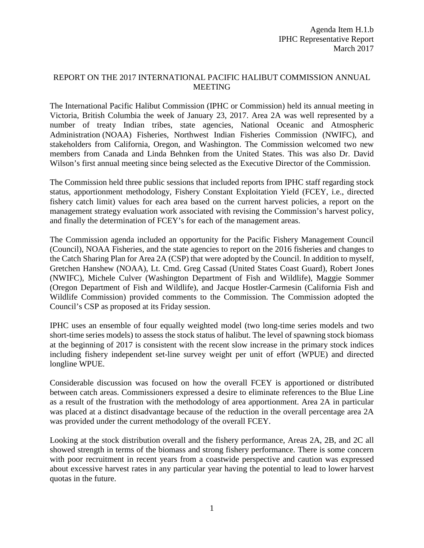## REPORT ON THE 2017 INTERNATIONAL PACIFIC HALIBUT COMMISSION ANNUAL MEETING

The International Pacific Halibut Commission (IPHC or Commission) held its annual meeting in Victoria, British Columbia the week of January 23, 2017. Area 2A was well represented by a number of treaty Indian tribes, state agencies, National Oceanic and Atmospheric Administration (NOAA) Fisheries, Northwest Indian Fisheries Commission (NWIFC), and stakeholders from California, Oregon, and Washington. The Commission welcomed two new members from Canada and Linda Behnken from the United States. This was also Dr. David Wilson's first annual meeting since being selected as the Executive Director of the Commission.

The Commission held three public sessions that included reports from IPHC staff regarding stock status, apportionment methodology, Fishery Constant Exploitation Yield (FCEY, i.e., directed fishery catch limit) values for each area based on the current harvest policies, a report on the management strategy evaluation work associated with revising the Commission's harvest policy, and finally the determination of FCEY's for each of the management areas.

The Commission agenda included an opportunity for the Pacific Fishery Management Council (Council), NOAA Fisheries, and the state agencies to report on the 2016 fisheries and changes to the Catch Sharing Plan for Area 2A (CSP) that were adopted by the Council. In addition to myself, Gretchen Hanshew (NOAA), Lt. Cmd. Greg Cassad (United States Coast Guard), Robert Jones (NWIFC), Michele Culver (Washington Department of Fish and Wildlife), Maggie Sommer (Oregon Department of Fish and Wildlife), and Jacque Hostler-Carmesin (California Fish and Wildlife Commission) provided comments to the Commission. The Commission adopted the Council's CSP as proposed at its Friday session.

IPHC uses an ensemble of four equally weighted model (two long-time series models and two short-time series models) to assess the stock status of halibut. The level of spawning stock biomass at the beginning of 2017 is consistent with the recent slow increase in the primary stock indices including fishery independent set-line survey weight per unit of effort (WPUE) and directed longline WPUE.

Considerable discussion was focused on how the overall FCEY is apportioned or distributed between catch areas. Commissioners expressed a desire to eliminate references to the Blue Line as a result of the frustration with the methodology of area apportionment. Area 2A in particular was placed at a distinct disadvantage because of the reduction in the overall percentage area 2A was provided under the current methodology of the overall FCEY.

Looking at the stock distribution overall and the fishery performance, Areas 2A, 2B, and 2C all showed strength in terms of the biomass and strong fishery performance. There is some concern with poor recruitment in recent years from a coastwide perspective and caution was expressed about excessive harvest rates in any particular year having the potential to lead to lower harvest quotas in the future.